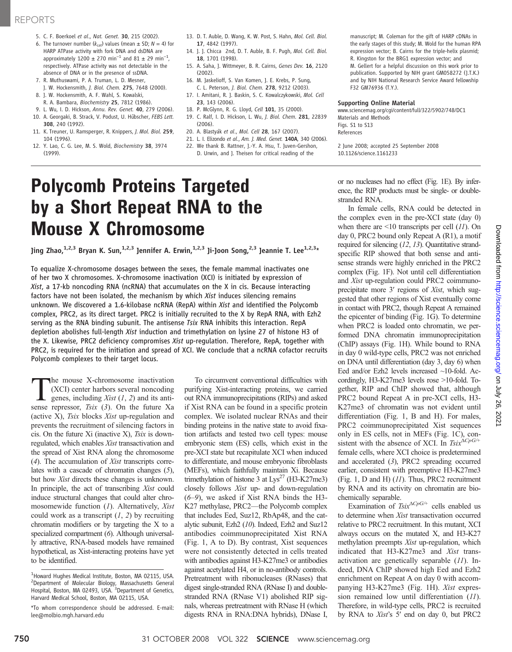- 5. C. F. Boerkoel et al., Nat. Genet. 30, 215 (2002).
- 6. The turnover number  $(k_{cat})$  values (mean  $\pm$  SD;  $N = 4$ ) for HARP ATPase activity with fork DNA and dsDNA are approximately  $1200 \pm 270$  min<sup>-1</sup> and  $81 \pm 29$  min<sup>-1</sup>, respectively. ATPase activity was not detectable in the absence of DNA or in the presence of ssDNA.
- 7. R. Muthuswami, P. A. Truman, L. D. Mesner, J. W. Hockensmith, J. Biol. Chem. 275, 7648 (2000).
- 8. J. W. Hockensmith, A. F. Wahl, S. Kowalski,
- R. A. Bambara, Biochemistry 25, 7812 (1986). 9. L. Wu, I. D. Hickson, Annu. Rev. Genet. 40, 279 (2006).
- 10. A. Georgaki, B. Strack, V. Podust, U. Hübscher, FEBS Lett. 308, 240 (1992).
- 11. K. Treuner, U. Ramsperger, R. Knippers, J. Mol. Biol. 259, 104 (1996).
- 12. Y. Lao, C. G. Lee, M. S. Wold, Biochemistry 38, 3974 (1999).
- 13. D. T. Auble, D. Wang, K. W. Post, S. Hahn, Mol. Cell. Biol. 17, 4842 (1997).
- 14. J. J. Chicca 2nd, D. T. Auble, B. F. Pugh, Mol. Cell. Biol. 18, 1701 (1998).
- 15. A. Saha, J. Wittmeyer, B. R. Cairns, Genes Dev. 16, 2120 (2002).
- 16. M. Jaskelioff, S. Van Komen, J. E. Krebs, P. Sung, C. L. Peterson, J. Biol. Chem. 278, 9212 (2003).
- 17. I. Amitani, R. J. Baskin, S. C. Kowalczykowski, Mol. Cell 23, 143 (2006).
- 18. P. McGlynn, R. G. Lloyd, Cell 101, 35 (2000).
- 19. C. Ralf, I. D. Hickson, L. Wu, J. Biol. Chem. 281, 22839 (2006).
- 20. A. Blastyák et al., Mol. Cell 28, 167 (2007).
- 21. L. I. Elizondo et al., Am. J. Med. Genet. 140A, 340 (2006).
- 22. We thank B. Rattner, J.-Y. A. Hsu, T. Juven-Gershon, D. Urwin, and J. Theisen for critical reading of the

manuscript; M. Coleman for the gift of HARP cDNAs in the early stages of this study; M. Wold for the human RPA expression vector; B. Cairns for the triple-helix plasmid; R. Kingston for the BRG1 expression vector; and M. Gellert for a helpful discussion on this work prior to publication. Supported by NIH grant GM058272 (J.T.K.) and by NIH National Research Service Award fellowship F32 GM76936 (T.Y.).

#### Supporting Online Material

www.sciencemag.org/cgi/content/full/322/5902/748/DC1 Materials and Methods Figs. S1 to S13 References

2 June 2008; accepted 25 September 2008 10.1126/science.1161233

# Polycomb Proteins Targeted by a Short Repeat RNA to the Mouse X Chromosome

Jing Zhao,<sup>1,2,3</sup> Bryan K. Sun,<sup>1,2,3</sup> Jennifer A. Erwin,<sup>1,2,3</sup> Ji-Joon Song,<sup>2,3</sup> Jeannie T. Lee<sup>1,2,3</sup>\*

To equalize X-chromosome dosages between the sexes, the female mammal inactivates one of her two X chromosomes. X-chromosome inactivation (XCI) is initiated by expression of Xist, a 17-kb noncoding RNA (ncRNA) that accumulates on the X in cis. Because interacting factors have not been isolated, the mechanism by which Xist induces silencing remains unknown. We discovered a 1.6-kilobase ncRNA (RepA) within Xist and identified the Polycomb complex, PRC2, as its direct target. PRC2 is initially recruited to the X by RepA RNA, with Ezh2 serving as the RNA binding subunit. The antisense Tsix RNA inhibits this interaction. RepA depletion abolishes full-length Xist induction and trimethylation on lysine 27 of histone H3 of the X. Likewise, PRC2 deficiency compromises Xist up-regulation. Therefore, RepA, together with PRC2, is required for the initiation and spread of XCI. We conclude that a ncRNA cofactor recruits Polycomb complexes to their target locus.

The mouse X-chromosome inactivation (XCI) center harbors several noncoding genes, including Xist  $(1, 2)$  and its antisense repressor,  $Tsix$  (3). On the future Xa (active X), Tsix blocks Xist up-regulation and prevents the recruitment of silencing factors in cis. On the future Xi (inactive X), Tsix is downregulated, which enables Xist transactivation and the spread of Xist RNA along the chromosome (4). The accumulation of Xist transcripts correlates with a cascade of chromatin changes (5), but how Xist directs these changes is unknown. In principle, the act of transcribing Xist could induce structural changes that could alter chromosomewide function (1). Alternatively, Xist could work as a transcript  $(1, 2)$  by recruiting chromatin modifiers or by targeting the X to a specialized compartment (6). Although universally attractive, RNA-based models have remained hypothetical, as Xist-interacting proteins have yet to be identified.

To circumvent conventional difficulties with purifying Xist-interacting proteins, we carried out RNA immunoprecipitations (RIPs) and asked if Xist RNA can be found in a specific protein complex. We isolated nuclear RNAs and their binding proteins in the native state to avoid fixation artifacts and tested two cell types: mouse embryonic stem (ES) cells, which exist in the pre-XCI state but recapitulate XCI when induced to differentiate, and mouse embryonic fibroblasts (MEFs), which faithfully maintain Xi. Because trimethylation of histone 3 at  $Lys^{27}$  (H3-K27me3) closely follows Xist up- and down-regulation (6–9), we asked if Xist RNA binds the H3- K27 methylase, PRC2—the Polycomb complex that includes Eed, Suz12, RbAp48, and the catalytic subunit, Ezh2 (10). Indeed, Ezh2 and Suz12 antibodies coimmunoprecipitated Xist RNA (Fig. 1, A to D). By contrast, Xist sequences were not consistently detected in cells treated with antibodies against H3-K27me3 or antibodies against acetylated H4, or in no-antibody controls. Pretreatment with ribonucleases (RNases) that digest single-stranded RNA (RNase I) and doublestranded RNA (RNase V1) abolished RIP signals, whereas pretreatment with RNase H (which digests RNA in RNA:DNA hybrids), DNase I, or no nucleases had no effect (Fig. 1E). By inference, the RIP products must be single- or doublestranded RNA.

In female cells, RNA could be detected in the complex even in the pre-XCI state (day 0) when there are  $\leq 10$  transcripts per cell  $(11)$ . On day 0, PRC2 bound only Repeat A (R1), a motif required for silencing (12, 13). Quantitative strandspecific RIP showed that both sense and antisense strands were highly enriched in the PRC2 complex (Fig. 1F). Not until cell differentiation and Xist up-regulation could PRC2 coimmunoprecipitate more 3′ regions of Xist, which suggested that other regions of Xist eventually come in contact with PRC2, though Repeat A remained the epicenter of binding (Fig. 1G). To determine when PRC2 is loaded onto chromatin, we performed DNA chromatin immunoprecipitation (ChIP) assays (Fig. 1H). While bound to RNA in day 0 wild-type cells, PRC2 was not enriched on DNA until differentiation (day 3, day 6) when Eed and/or Ezh2 levels increased ~10-fold. Accordingly, H3-K27me3 levels rose >10-fold. Together, RIP and ChIP showed that, although PRC2 bound Repeat A in pre-XCI cells, H3- K27me3 of chromatin was not evident until differentiation (Fig. 1, B and H). For males, PRC2 coimmunoprecipitated Xist sequences only in ES cells, not in MEFs (Fig. 1C), consistent with the absence of XCI. In Tsi $x^{\Delta C pG/+}$ female cells, where XCI choice is predetermined and accelerated (3), PRC2 spreading occurred earlier, consistent with preemptive H3-K27me3 (Fig. 1, D and H) (11). Thus, PRC2 recruitment by RNA and its activity on chromatin are biochemically separable.

Examination of Tsix $\Delta C pG$  cells enabled us to determine when Xist transactivation occurred relative to PRC2 recruitment. In this mutant, XCI always occurs on the mutated X, and H3-K27 methylation preempts Xist up-regulation, which indicated that H3-K27me3 and Xist transactivation are genetically separable (11). Indeed, DNA ChIP showed high Eed and Ezh2 enrichment on Repeat A on day 0 with accompanying H3-K27me3 (Fig. 1H). Xist expression remained low until differentiation (11). Therefore, in wild-type cells, PRC2 is recruited by RNA to Xist's 5′ end on day 0, but PRC2

<sup>&</sup>lt;sup>1</sup>Howard Hughes Medical Institute, Boston, MA 02115, USA. <sup>2</sup>Department of Molecular Biology, Massachusetts General Hospital, Boston, MA 02493, USA. <sup>3</sup>Department of Genetics, Harvard Medical School, Boston, MA 02115, USA.

<sup>\*</sup>To whom correspondence should be addressed. E-mail: lee@molbio.mgh.harvard.edu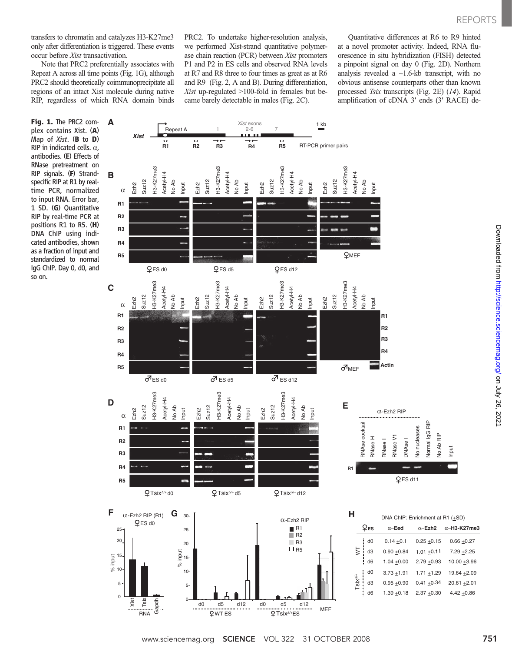transfers to chromatin and catalyzes H3-K27me3 only after differentiation is triggered. These events occur before Xist transactivation.

Note that PRC2 preferentially associates with Repeat A across all time points (Fig. 1G), although PRC2 should theoretically coimmunoprecipitate all regions of an intact Xist molecule during native RIP, regardless of which RNA domain binds

Fig. 1. The PRC2 complex contains Xist. (A) Map of Xist. (B to D) RIP in indicated cells.  $\alpha$ , antibodies. (E) Effects of RNase pretreatment on RIP signals. (F) Strandspecific RIP at R1 by realtime PCR, normalized to input RNA. Error bar, 1 SD. (G) Quantitative RIP by real-time PCR at positions R1 to R5. (H) DNA ChIP using indicated antibodies, shown as a fraction of input and standardized to normal IgG ChIP. Day 0, d0, and so on.



PRC2. To undertake higher-resolution analysis, we performed Xist-strand quantitative polymerase chain reaction (PCR) between Xist promoters P1 and P2 in ES cells and observed RNA levels at R7 and R8 three to four times as great as at R6 and R9 (Fig. 2, A and B). During differentiation, Xist up-regulated >100-fold in females but be-

Quantitative differences at R6 to R9 hinted at a novel promoter activity. Indeed, RNA fluorescence in situ hybridization (FISH) detected a pinpoint signal on day 0 (Fig. 2D). Northern analysis revealed a ~1.6-kb transcript, with no obvious antisense counterparts other than known processed Tsix transcripts (Fig. 2E) (14). Rapid amplification of cDNA 3′ ends (3′ RACE) de-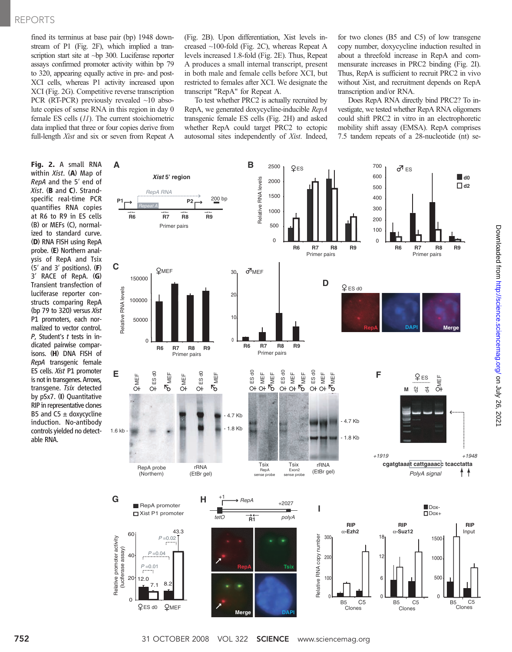### REPORTS

fined its terminus at base pair (bp) 1948 downstream of P1 (Fig. 2F), which implied a transcription start site at ~bp 300. Luciferase reporter assays confirmed promoter activity within bp 79 to 320, appearing equally active in pre- and post-XCI cells, whereas P1 activity increased upon XCI (Fig. 2G). Competitive reverse transcription PCR (RT-PCR) previously revealed ~10 absolute copies of sense RNA in this region in day 0 female ES cells (11). The current stoichiometric data implied that three or four copies derive from full-length *Xist* and six or seven from Repeat A

Fig. 2. A small RNA within  $Xist$ . (A) Map of RepA and the 5′ end of Xist. (B and C). Strandspecific real-time PCR quantifies RNA copies at R6 to R9 in ES cells (B) or MEFs (C), normalized to standard curve. (D) RNA FISH using RepA probe. (E) Northern analysis of RepA and Tsix (5′ and 3′ positions). (F) <sup>3</sup>′ RACE of RepA. (G) Transient transfection of luciferase reporter constructs comparing RepA (bp 79 to 320) versus Xist P1 promoters, each normalized to vector control. P, Student's t tests in indicated pairwise comparisons. (H) DNA FISH of RepA transgenic female ES cells. Xist P1 promoter is not in transgenes. Arrows, transgene. Tsix detected by pSx7. (I) Quantitative RIP in representative clones B5 and  $C5 \pm$  doxycycline induction. No-antibody controls yielded no detectable RNA.

(Fig. 2B). Upon differentiation, Xist levels increased ~100-fold (Fig. 2C), whereas Repeat A levels increased 1.8-fold (Fig. 2E). Thus, Repeat A produces a small internal transcript, present in both male and female cells before XCI, but restricted to females after XCI. We designate the transcript "RepA" for Repeat A.

To test whether PRC2 is actually recruited by RepA, we generated doxycycline-inducible RepA transgenic female ES cells (Fig. 2H) and asked whether RepA could target PRC2 to ectopic autosomal sites independently of Xist. Indeed, for two clones (B5 and C5) of low transgene copy number, doxycycline induction resulted in about a threefold increase in RepA and commensurate increases in PRC2 binding (Fig. 2I). Thus, RepA is sufficient to recruit PRC2 in vivo without Xist, and recruitment depends on RepA transcription and/or RNA.

Does RepA RNA directly bind PRC2? To investigate, we tested whether RepA RNA oligomers could shift PRC2 in vitro in an electrophoretic mobility shift assay (EMSA). RepA comprises 7.5 tandem repeats of a 28-nucleotide (nt) se-

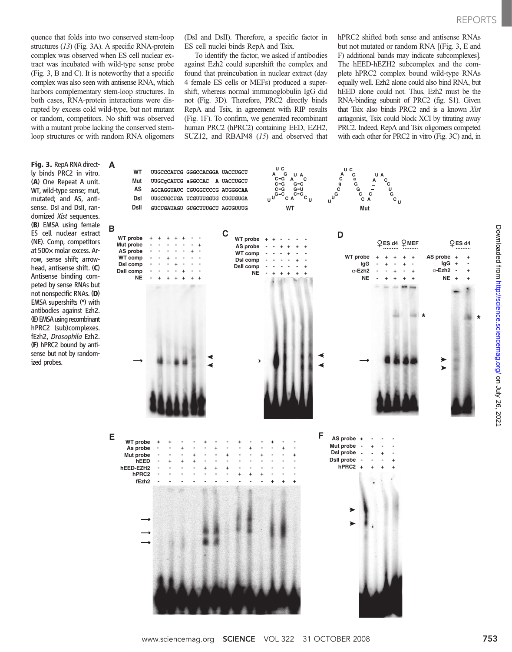quence that folds into two conserved stem-loop structures (13) (Fig. 3A). A specific RNA-protein complex was observed when ES cell nuclear extract was incubated with wild-type sense probe (Fig. 3, B and C). It is noteworthy that a specific complex was also seen with antisense RNA, which harbors complementary stem-loop structures. In both cases, RNA-protein interactions were disrupted by excess cold wild-type, but not mutant or random, competitors. No shift was observed with a mutant probe lacking the conserved stemloop structures or with random RNA oligomers

Fig. 3. RepA RNA directly binds PRC2 in vitro. (A) One Repeat A unit. WT, wild-type sense; mut, mutated; and AS, antisense. DsI and DsII, randomized Xist sequences. (B) EMSA using female ES cell nuclear extract (NE). Comp, competitors at 500× molar excess. Arrow, sense shift; arrowhead, antisense shift. (C) Antisense binding competed by sense RNAs but not nonspecific RNAs. (D) EMSA supershifts (\*) with antibodies against Ezh2. (E) EMSA using recombinant hPRC2 (sub)complexes. fEzh2, Drosophila Ezh2. (F) hPRC2 bound by antisense but not by randomized probes.

(DsI and DsII). Therefore, a specific factor in ES cell nuclei binds RepA and Tsix.

To identify the factor, we asked if antibodies against Ezh2 could supershift the complex and found that preincubation in nuclear extract (day 4 female ES cells or MEFs) produced a supershift, whereas normal immunoglobulin IgG did not (Fig. 3D). Therefore, PRC2 directly binds RepA and Tsix, in agreement with RIP results (Fig. 1F). To confirm, we generated recombinant human PRC2 (hPRC2) containing EED, EZH2, SUZ12, and RBAP48 (15) and observed that hPRC2 shifted both sense and antisense RNAs but not mutated or random RNA [(Fig. 3, E and F) additional bands may indicate subcomplexes]. The hEED-hEZH2 subcomplex and the complete hPRC2 complex bound wild-type RNAs equally well. Ezh2 alone could also bind RNA, but hEED alone could not. Thus, Ezh2 must be the RNA-binding subunit of PRC2 (fig. S1). Given that Tsix also binds PRC2 and is a known Xist antagonist, Tsix could block XCI by titrating away PRC2. Indeed, RepA and Tsix oligomers competed with each other for PRC2 in vitro (Fig. 3C) and, in



Downloaded from [http://science.science](http://science.sciencemag.org/)mag.org/ on July 26, 2021

Downloaded from http://science.sciencemag.org/ on July 26, 202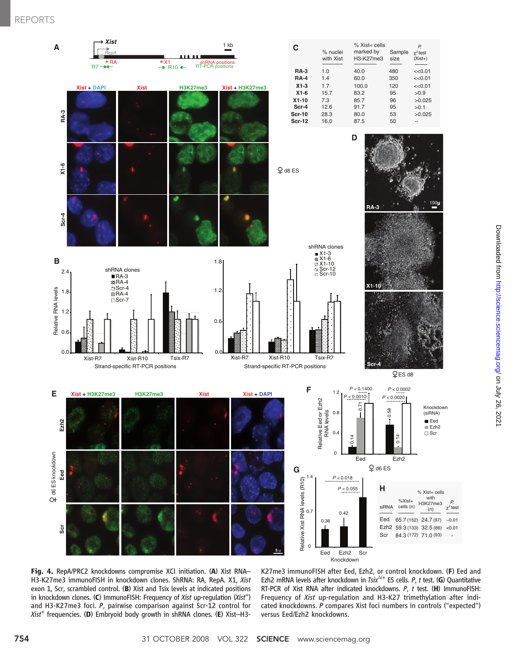## REPORTS



Knockdown

Fig. 4. RepA/PRC2 knockdowns compromise XCI initiation. (A) Xist RNA– H3-K27me3 immunoFISH in knockdown clones. ShRNA: RA, RepA. X1, Xist exon 1, Scr, scrambled control. (B) Xist and Tsix levels at indicated positions in knockdown clones. (C) ImmunoFISH: Frequency of *Xist* up-regulation (*Xist<sup>+</sup>*) and H3-K27me3 foci P pairwise comparison against Scr-12 control for and H3-K27me3 foci. P, pairwise comparison against Scr-12 control for  $Xist^+$  frequencies. (D) Embryoid body growth in shRNA clones. (E) Xist-H3-

K27me3 immunoFISH after Eed, Ezh2, or control knockdown. (F) Eed and Ezh2 mRNA levels after knockdown in  $Tsix^{\Delta t}$  ES cells. P, t test. (G) Quantitative RT-PCR of Xist RNA after indicated knockdowns. <sup>P</sup>, <sup>t</sup> test. (H) ImmunoFISH: Frequency of Xist up-regulation and H3-K27 trimethylation after indicated knockdowns. P compares Xist foci numbers in controls ("expected") versus Eed/Ezh2 knockdowns.

*P,*

-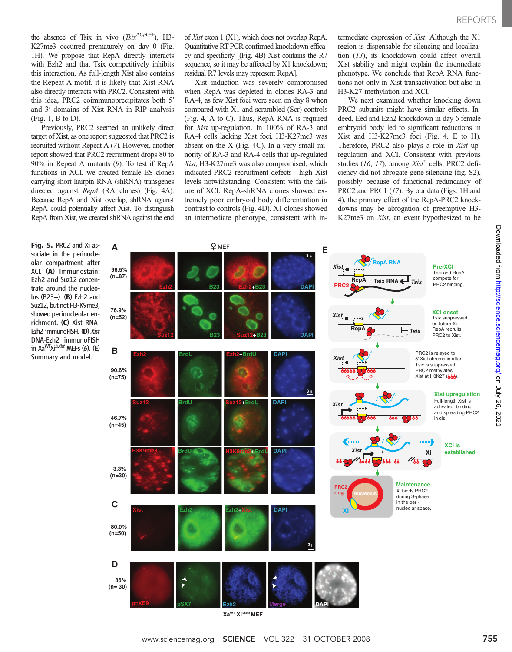the absence of Tsix in vivo  $(Tsix^{\Delta CpG/+)}$ , H3-K27me3 occurred prematurely on day 0 (Fig. 1H). We propose that RepA directly interacts with Ezh2 and that Tsix competitively inhibits this interaction. As full-length Xist also contains the Repeat A motif, it is likely that Xist RNA also directly interacts with PRC2. Consistent with this idea, PRC2 coimmunoprecipitates both 5′ and 3′ domains of Xist RNA in RIP analysis (Fig. 1, B to D).

Previously, PRC2 seemed an unlikely direct target of Xist, as one report suggested that PRC2 is recruited without Repeat A (7). However, another report showed that PRC2 recruitment drops 80 to 90% in Repeat A mutants (9). To test if RepA functions in XCI, we created female ES clones carrying short hairpin RNA (shRNA) transgenes directed against RepA (RA clones) (Fig. 4A). Because RepA and Xist overlap, shRNA against RepA could potentially affect Xist. To distinguish RepA from Xist, we created shRNA against the end

Fig. 5. PRC2 and Xi associate in the perinucleolar compartment after XCI. (A) Immunostain: Ezh2 and Suz12 concentrate around the nucleolus (B23+). (B) Ezh2 and Suz12, but not H3-K9me3, showed perinucleolar enrichment. (C) Xist RNA-Ezh2 immunoFISH. (D) Xist DNA-Ezh2 immunoFISH in Xa<sup>WT</sup>Xi<sup>∆Xist</sup> MEFs (6). (E) Summary and model.

of Xist exon 1 (X1), which does not overlap RepA. Quantitative RT-PCR confirmed knockdown efficacy and specificity [(Fig. 4B) Xist contains the R7 sequence, so it may be affected by X1 knockdown; residual R7 levels may represent RepA].

Xist induction was severely compromised when RepA was depleted in clones RA-3 and RA-4, as few Xist foci were seen on day 8 when compared with X1 and scrambled (Scr) controls (Fig. 4, A to C). Thus, RepA RNA is required for Xist up-regulation. In 100% of RA-3 and RA-4 cells lacking Xist foci, H3-K27me3 was absent on the X (Fig. 4C). In a very small minority of RA-3 and RA-4 cells that up-regulated Xist, H3-K27me3 was also compromised, which indicated PRC2 recruitment defects—high Xist levels notwithstanding. Consistent with the failure of XCI, RepA-shRNA clones showed extremely poor embryoid body differentiation in contrast to controls (Fig. 4D). X1 clones showed an intermediate phenotype, consistent with intermediate expression of Xist. Although the X1 region is dispensable for silencing and localization (13), its knockdown could affect overall Xist stability and might explain the intermediate phenotype. We conclude that RepA RNA functions not only in Xist transactivation but also in H3-K27 methylation and XCI.

We next examined whether knocking down PRC2 subunits might have similar effects. Indeed, Eed and Ezh2 knockdown in day 6 female embryoid body led to significant reductions in Xist and H3-K27me3 foci (Fig. 4, E to H). Therefore, PRC2 also plays a role in Xist upregulation and XCI. Consistent with previous studies (16, 17), among  $Xist^+$  cells, PRC2 deficiency did not abrogate gene silencing (fig. S2), possibly because of functional redundancy of PRC2 and PRC1 (17). By our data (Figs. 1H and 4), the primary effect of the RepA-PRC2 knockdowns may be abrogation of preemptive H3- K27me3 on Xist, an event hypothesized to be

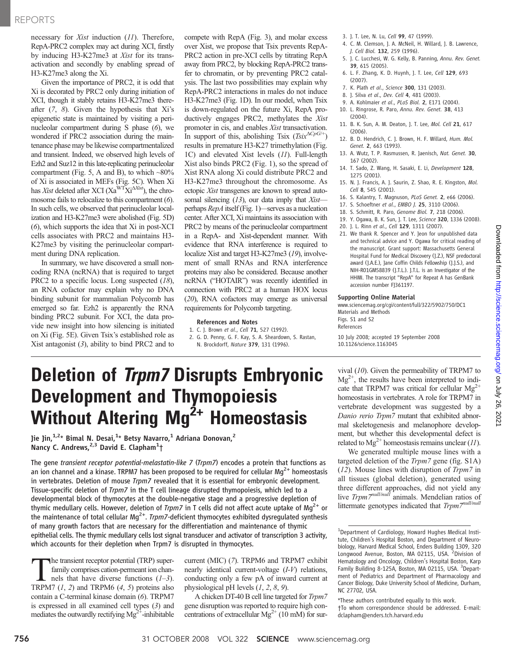### REPORTS

necessary for Xist induction (11). Therefore, RepA-PRC2 complex may act during XCI, firstly by inducing H3-K27me3 at Xist for its transactivation and secondly by enabling spread of H3-K27me3 along the Xi.

Given the importance of PRC2, it is odd that Xi is decorated by PRC2 only during initiation of XCI, though it stably retains H3-K27me3 thereafter  $(7, 8)$ . Given the hypothesis that Xi's epigenetic state is maintained by visiting a perinucleolar compartment during S phase (6), we wondered if PRC2 association during the maintenance phase may be likewise compartmentalized and transient. Indeed, we observed high levels of Ezh2 and Suz12 in this late-replicating perinucleolar compartment (Fig. 5, A and B), to which  $~80\%$ of Xi is associated in MEFs (Fig. 5C). When Xi has Xist deleted after XCI (Xa<sup>WT</sup>Xi<sup> $\Delta$ Xist</sup>), the chromosome fails to relocalize to this compartment (6). In such cells, we observed that perinucleolar localization and H3-K27me3 were abolished (Fig. 5D) (6), which supports the idea that Xi in post-XCI cells associates with PRC2 and maintains H3- K27me3 by visiting the perinucleolar compartment during DNA replication.

In summary, we have discovered a small noncoding RNA (ncRNA) that is required to target PRC2 to a specific locus. Long suspected (18), an RNA cofactor may explain why no DNA binding subunit for mammalian Polycomb has emerged so far. Ezh2 is apparently the RNA binding PRC2 subunit. For XCI, the data provide new insight into how silencing is initiated on Xi (Fig. 5E). Given Tsix's established role as Xist antagonist  $(3)$ , ability to bind PRC2 and to

compete with RepA (Fig. 3), and molar excess over Xist, we propose that Tsix prevents RepA-PRC2 action in pre-XCI cells by titrating RepA away from PRC2, by blocking RepA-PRC2 transfer to chromatin, or by preventing PRC2 catalysis. The last two possibilities may explain why RepA-PRC2 interactions in males do not induce H3-K27me3 (Fig. 1D). In our model, when Tsix is down-regulated on the future Xi, RepA productively engages PRC2, methylates the Xist promoter in cis, and enables Xist transactivation. In support of this, abolishing Tsix (Tsix $\Delta C_p G^{(+)}$ ) results in premature H3-K27 trimethylation (Fig. 1C) and elevated Xist levels (11). Full-length Xist also binds PRC2 (Fig. 1), so the spread of Xist RNA along Xi could distribute PRC2 and H3-K27me3 throughout the chromosome. As ectopic Xist transgenes are known to spread autosomal silencing (13), our data imply that Xistperhaps RepA itself (Fig. 1)—serves as a nucleation center. After XCI, Xi maintains its association with PRC2 by means of the perinucleolar compartment in a RepA- and Xist-dependent manner. With evidence that RNA interference is required to localize Xist and target H3-K27me3 (19), involvement of small RNAs and RNA interference proteins may also be considered. Because another ncRNA ("HOTAIR") was recently identified in connection with PRC2 at a human HOX locus (20), RNA cofactors may emerge as universal requirements for Polycomb targeting.

#### References and Notes

1. C. J. Brown et al., Cell 71, 527 (1992). 2. G. D. Penny, G. F. Kay, S. A. Sheardown, S. Rastan,

- 3. J. T. Lee, N. Lu, Cell 99, 47 (1999).
- 4. C. M. Clemson, J. A. McNeil, H. Willard, J. B. Lawrence, J. Cell Biol. 132, 259 (1996).
- 5. J. C. Lucchesi, W. G. Kelly, B. Panning, Annu. Rev. Genet. 39, 615 (2005).
- 6. L. F. Zhang, K. D. Huynh, J. T. Lee, Cell 129, 693 (2007).
- 7. K. Plath et al., Science 300, 131 (2003).
- 8. 1. Silva et al., Dev. Cell 4, 481 (2003).
- 9. A. Kohlmaier et al., PLoS Biol. 2, E171 (2004).
- 10. L. Ringrose, R. Paro, Annu. Rev. Genet. 38, 413 (2004).
- 11. B. K. Sun, A. M. Deaton, J. T. Lee, Mol. Cell 21, 617 (2006).
- 12. B. D. Hendrich, C. J. Brown, H. F. Willard, Hum. Mol. Genet. 2, 663 (1993).
- 13. A. Wutz, T. P. Rasmussen, R. Jaenisch, Nat. Genet. 30, 167 (2002).
- 14. T. Sado, Z. Wang, H. Sasaki, E. Li, Development 128, 1275 (2001).
- 15. N. J. Francis, A. J. Saurin, Z. Shao, R. E. Kingston, Mol. Cell 8, 545 (2001).
- 16. S. Kalantry, T. Magnuson, PLoS Genet. 2, e66 (2006).
- 17. S. Schoeftner et al., EMBO J. 25, 3110 (2006).
- 18. S. Schmitt, R. Paro, Genome Biol. 7, 218 (2006).
- 19. Y. Ogawa, B. K. Sun, J. T. Lee, Science 320, 1336 (2008).
- 20. J. L. Rinn et al., Cell 129, 1311 (2007).
- 21. We thank R. Spencer and Y. Jeon for unpublished data and technical advice and Y. Ogawa for critical reading of the manuscript. Grant support: Massachusetts General Hospital Fund for Medical Discovery (J.Z.), NSF predoctoral award (J.A.E.), Jane Coffin Childs Fellowship (J.J.S.), and NIH-R01GM58839 (J.T.L.). J.T.L. is an Investigator of the HHMI. The transcript "RepA" for Repeat A has GenBank accession number FJ361197.

#### Supporting Online Material

www.sciencemag.org/cgi/content/full/322/5902/750/DC1 Materials and Methods Figs. S1 and S2 References

10 July 2008; accepted 19 September 2008 10.1126/science.1163045

## Deletion of *Trpm7* Disrupts Embryonic Development and Thymopoiesis Without Altering  $Mg^{2+}$  Homeostasis

Jie Jin,<sup>1,2</sup>\* Bimal N. Desai,<sup>1</sup>\* Betsy Navarro,<sup>1</sup> Adriana Donovan,<sup>2</sup> Nancy C. Andrews,<sup>2,3</sup> David E. Clapham<sup>1</sup>†

The gene transient receptor potential-melastatin-like 7 (Trpm7) encodes a protein that functions as an ion channel and a kinase. TRPM7 has been proposed to be required for cellular Mg<sup>2+</sup> homeostasis in vertebrates. Deletion of mouse Trpm7 revealed that it is essential for embryonic development. Tissue-specific deletion of Trpm7 in the T cell lineage disrupted thymopoiesis, which led to a developmental block of thymocytes at the double-negative stage and a progressive depletion of thymic medullary cells. However, deletion of *Trpm7* in T cells did not affect acute uptake of Mg<sup>2+</sup> or the maintenance of total cellular  $Mg^{2+}$ . Trpm7-deficient thymocytes exhibited dysregulated synthesis of many growth factors that are necessary for the differentiation and maintenance of thymic epithelial cells. The thymic medullary cells lost signal transducer and activator of transcription 3 activity, which accounts for their depletion when Trpm7 is disrupted in thymocytes.

the transient receptor potential (TRP) superfamily comprises cation-permeant ion channels that have diverse functions  $(1-3)$ . TRPM7  $(1, 2)$  and TRPM6  $(4, 5)$  proteins also contain a C-terminal kinase domain (6). TRPM7 is expressed in all examined cell types (3) and mediates the outwardly rectifying  $Mg^{2+}$ -inhibitable

current (MIC) (7). TRPM6 and TRPM7 exhibit nearly identical current-voltage (I-V) relations, conducting only a few pA of inward current at physiological pH levels  $(1, 2, 8, 9)$ .

A chicken DT-40 B cell line targeted for Trpm7 gene disruption was reported to require high concentrations of extracellular  $Mg^{2+}$  (10 mM) for survival (10). Given the permeability of TRPM7 to  $Mg^{2+}$ , the results have been interpreted to indicate that TRPM7 was critical for cellular  $Mg^{2+}$ homeostasis in vertebrates. A role for TRPM7 in vertebrate development was suggested by a Danio rerio Trpm7 mutant that exhibited abnormal skeletogenesis and melanophore development, but whether this developmental defect is related to  $Mg^{2+}$  homeostasis remains unclear (11).

We generated multiple mouse lines with a targeted deletion of the Trpm7 gene (fig. S1A) (12). Mouse lines with disruption of Trpm7 in all tissues (global deletion), generated using three different approaches, did not yield any live Trpm7<sup>null/null</sup> animals. Mendelian ratios of littermate genotypes indicated that  $Trpm7^{null/null}$ 

\*These authors contributed equally to this work. †To whom correspondence should be addressed. E-mail: dclapham@enders.tch.harvard.edu

N. Brockdorff, Nature 379, 131 (1996).

<sup>&</sup>lt;sup>1</sup>Department of Cardiology, Howard Hughes Medical Institute, Children's Hospital Boston, and Department of Neurobiology, Harvard Medical School, Enders Building 1309, 320 Longwood Avenue, Boston, MA 02115, USA. <sup>2</sup> Division of Hematology and Oncology, Children's Hospital Boston, Karp Family Building 8-125A, Boston, MA 02115, USA. <sup>3</sup>Department of Pediatrics and Department of Pharmacology and Cancer Biology, Duke University School of Medicine, Durham, NC 27702, USA.